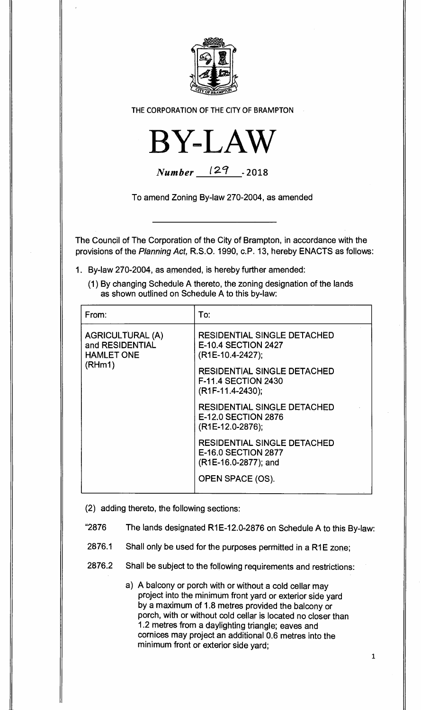

**THE CORPORATION OF THE CITY OF BRAMPTON** 



| <b>Number</b> | 129 | $-2018$ |
|---------------|-----|---------|
|---------------|-----|---------|

**To amend Zoning By-law 270-2004, as amended** 

**The Council of The Corporation of the City of Brampton, in accordance with the provisions of the** Planning Act, **R.S.O. 1990, c.P. 13, hereby ENACTS as follows:** 

- **1. By-law 270-2004, as amended, is hereby further amended:** 
	- **(1) By changing Schedule A thereto, the zoning designation of the lands as shown outlined on Schedule A to this by-law:**

| From:                                                                     | To:                                                                                               |
|---------------------------------------------------------------------------|---------------------------------------------------------------------------------------------------|
| <b>AGRICULTURAL (A)</b><br>and RESIDENTIAL<br><b>HAMLET ONE</b><br>(RHm1) | <b>RESIDENTIAL SINGLE DETACHED</b><br><b>E-10.4 SECTION 2427</b><br>(R1E-10.4-2427);              |
|                                                                           | <b>RESIDENTIAL SINGLE DETACHED</b><br><b>F-11.4 SECTION 2430</b><br>(R <sub>1F-11</sub> .4-2430); |
|                                                                           | <b>RESIDENTIAL SINGLE DETACHED</b><br><b>E-12.0 SECTION 2876</b><br>(R1E-12.0-2876);              |
|                                                                           | <b>RESIDENTIAL SINGLE DETACHED</b><br><b>E-16.0 SECTION 2877</b><br>(R1E-16.0-2877); and          |
|                                                                           | OPEN SPACE (OS).                                                                                  |

**(2) adding thereto, the following sections:** 

- **"2876 The lands designated R1E-12.0-2876 on Schedule A to this By-law:**
- **2876.1 Shall only be used for the purposes permitted in a R1E zone;**
- **2876.2 Shall be subject to the following requirements and restrictions:** 
	- **a) A balcony or porch with or without a cold cellar may project into the minimum front yard or exterior side yard by a maximum of 1.8 metres provided the balcony or porch, with or without cold cellar is located no closer than 1.2 metres from a daylighting triangle; eaves and cornices may project an additional 0.6 metres into the minimum front or exterior side yard;**

**1**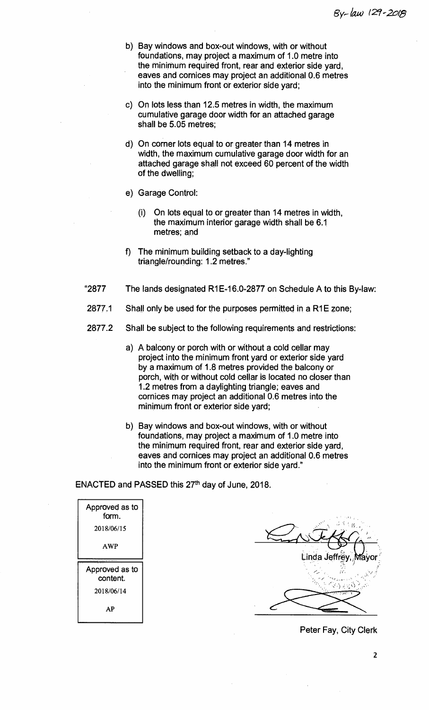- **b) Bay windows and box-out windows, with or without foundations, may project a maximum of 1.0 metre into the minimum required front, rear and exterior side yard, eaves and cornices may project an additional 0.6 metres into the minimum front or exterior side yard;**
- **c) On lots less than 12.5 metres in width, the maximum cumulative garage door width for an attached garage shall be 5.05 metres;**
- **d) On corner lots equal to or greater than 14 metres in width, the maximum cumulative garage door width for an attached garage shall not exceed 60 percent of the width of the dwelling;**
- **e) Garage Control:** 
	- **(i) On lots equal to or greater than 14 metres in width, the maximum interior garage width shall be 6.1 metres; and**
- **f) The minimum building setback to a day-lighting triangle/rounding: 1.2 metres."**
- **"2877 The lands designated R1E-16.0-2877 on Schedule A to this By-law:**
- **2877.1 Shall only be used for the purposes permitted in a R1E zone;**
- **2877.2 Shall be subject to the following requirements and restrictions:** 
	- **a) A balcony or porch with or without a cold cellar may project into the minimum front yard or exterior side yard by a maximum of 1.8 metres provided the balcony or porch, with or without cold cellar is located no closer than 1.2 metres from a daylighting triangle; eaves and cornices may project an additional 0.6 metres into the minimum front or exterior side yard;**
	- **b) Bay windows and box-out windows, with or without foundations, may project a maximum of 1.0 metre into the minimum required front, rear and exterior side yard, eaves and cornices may project an additional 0.6 metres into the minimum front or exterior side yard."**

ENACTED and PASSED this 27<sup>th</sup> day of June, 2018.

| Approved as to<br>form.    |
|----------------------------|
| 2018/06/15                 |
| <b>AWP</b>                 |
|                            |
| Approved as to<br>content. |
| 2018/06/14                 |

Linda Jeffre

**Peter Fay, City Clerk**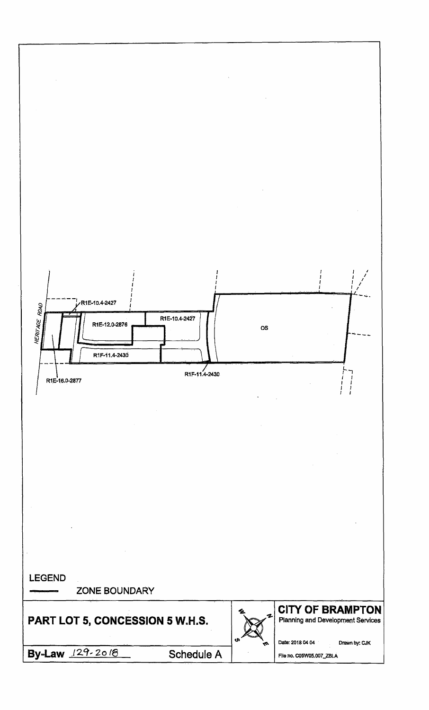